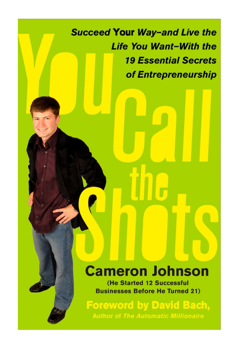## **Succeed Your Way-and Live the Life You Want-With the 19 Essential Secrets** of Entrepreneurship

## **Cameron Johnson**

(He Started 12 Successful **Businesses Before He Turned 21)** 

**Foreword by David Bach, Author of The Automatic Millionaire**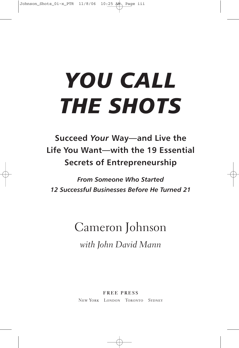# *YOU CALL THE SHOTS*

### **Succeed** *Your* **Way—and Live the Life You Want—with the 19 Essential Secrets of Entrepreneurship**

*From Someone Who Started 12 Successful Businesses Before He Turned 21*

# Cameron Johnson

*with John David Mann*

**FREE PRESS** New York London Toronto Sydney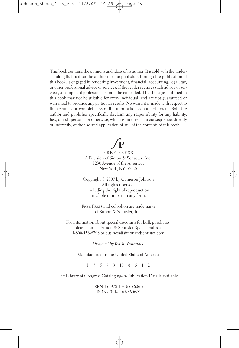This book contains the opinions and ideas of its author. It is sold with the understanding that neither the author nor the publisher, through the publication of this book, is engaged in rendering investment, financial, accounting, legal, tax, or other professional advice or services. If the reader requires such advice or services, a competent professional should be consulted. The strategies outlined in this book may not be suitable for every individual, and are not guaranteed or warranted to produce any particular results. No warrant is made with respect to the accuracy or completeness of the information contained herein. Both the author and publisher specifically disclaim any responsibility for any liability, loss, or risk, personal or otherwise, which is incurred as a consequence, directly or indirectly, of the use and application of any of the contents of this book.

## $f$  $\mathbf{p}$

FREE PRESS A Division of Simon & Schuster, Inc. 1230 Avenue of the Americas New York, NY 10020

Copyright © 2007 by Cameron Johnson All rights reserved, including the right of reproduction in whole or in part in any form.

Free Press and colophon are trademarks of Simon & Schuster, Inc.

For information about special discounts for bulk purchases, please contact Simon & Schuster Special Sales at 1-800-456-6798 or business@simonandschuster.com

*Designed by Kyoko Watanabe*

Manufactured in the United States of America

1 3 5 7 9 10 8 6 4 2

The Library of Congress Cataloging-in-Publication Data is available.

ISBN-13: 978-1-4165-3606-2 ISBN-10: 1-4165-3606-X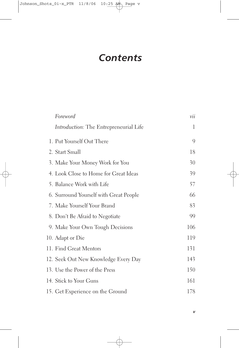### *Contents*

| Foreword                               | vii |
|----------------------------------------|-----|
| Introduction: The Entrepreneurial Life | 1   |
| 1. Put Yourself Out There              | 9   |
| 2. Start Small                         | 18  |
| 3. Make Your Money Work for You        | 30  |
| 4. Look Close to Home for Great Ideas  | 39  |
| 5. Balance Work with Life              | 57  |
| 6. Surround Yourself with Great People | 66  |
| 7. Make Yourself Your Brand            | 83  |
| 8. Don't Be Afraid to Negotiate        | 99  |
| 9. Make Your Own Tough Decisions       | 106 |
| 10. Adapt or Die                       | 119 |
| 11. Find Great Mentors                 | 131 |
| 12. Seek Out New Knowledge Every Day   | 143 |
| 13. Use the Power of the Press         | 150 |
| 14. Stick to Your Guns                 | 161 |
| 15. Get Experience on the Ground       | 178 |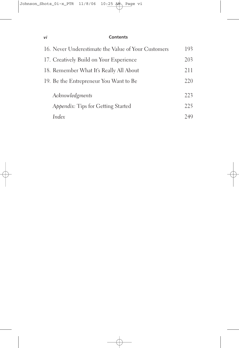*vi* **Contents**

| 16. Never Underestimate the Value of Your Customers | 193 |
|-----------------------------------------------------|-----|
| 17. Creatively Build on Your Experience             | 203 |
| 18. Remember What It's Really All About             | 211 |
| 19. Be the Entrepreneur You Want to Be              | 220 |
| Acknowledgments                                     | 223 |
| Appendix: Tips for Getting Started                  | 225 |
| Index                                               | 249 |
|                                                     |     |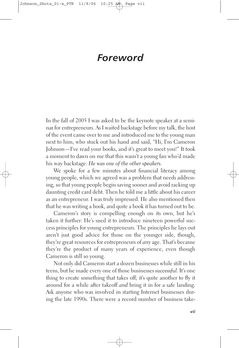#### *Foreword*

In the fall of 2005 I was asked to be the keynote speaker at a seminar for entrepreneurs. As I waited backstage before my talk, the host of the event came over to me and introduced me to the young man next to him, who stuck out his hand and said, "Hi, I'm Cameron Johnson—I've read your books, and it's great to meet you!" It took a moment to dawn on me that this wasn't a young fan who'd made his way backstage: *He was one of the other speakers.* 

We spoke for a few minutes about financial literacy among young people, which we agreed was a problem that needs addressing, so that young people begin saving sooner and avoid racking up daunting credit card debt. Then he told me a little about his career as an entrepreneur. I was truly impressed. He also mentioned then that he was writing a book, and quite a book it has turned out to be.

Cameron's story is compelling enough on its own, but he's taken it further: He's used it to introduce nineteen powerful success principles for young entrepreneurs. The principles he lays out aren't just good advice for those on the younger side, though, they're great resources for entrepreneurs of *any* age. That's because they're the product of many years of experience, even though Cameron is still so young.

Not only did Cameron start a dozen businesses while still in his teens, but he made every one of those businesses *successful.* It's one thing to create something that takes off; it's quite another to fly it around for a while after takeoff *and* bring it in for a safe landing. Ask anyone who was involved in starting Internet businesses during the late 1990s. There were a record number of business take-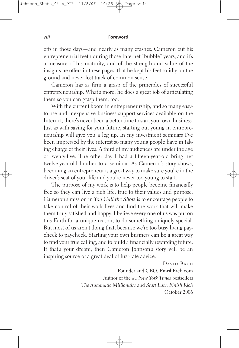#### *viii* **Foreword**

offs in those days—and nearly as many crashes. Cameron cut his entrepreneurial teeth during those Internet "bubble" years, and it's a measure of his maturity, and of the strength and value of the insights he offers in these pages, that he kept his feet solidly on the ground and never lost track of common sense.

Cameron has as firm a grasp of the principles of successful entrepreneurship. What's more, he does a great job of articulating them so you can grasp them, too.

With the current boom in entrepreneurship, and so many easyto-use and inexpensive business support services available on the Internet, there's never been a better time to start your own business. Just as with saving for your future, starting out young in entrepreneurship will give you a leg up. In my investment seminars I've been impressed by the interest so many young people have in taking charge of their lives. A third of my audiences are under the age of twenty-five. The other day I had a fifteen-year-old bring her twelve-year-old brother to a seminar. As Cameron's story shows, becoming an entrepreneur is a great way to make sure you're in the driver's seat of your life and you're never too young to start.

The purpose of my work is to help people become financially free so they can live a rich life, true to their values and purpose. Cameron's mission in *You Call the Shots* is to encourage people to take control of their work lives and find the work that will make them truly satisfied and happy. I believe every one of us was put on this Earth for a unique reason, to do something uniquely special. But most of us aren't doing that, because we're too busy living paycheck to paycheck. Starting your own business can be a great way to find your true calling, and to build a financially rewarding future. If that's your dream, then Cameron Johnson's story will be an inspiring source of a great deal of first-rate advice.

DAVID BACH

Founder and CEO, FinishRich.com Author of the #1 *New York Times* bestsellers *The Automatic Millionaire* and *Start Late, Finish Rich* October 2006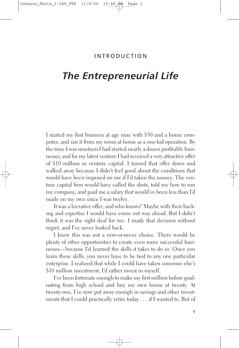#### INTRODUCTION

#### *The Entrepreneurial Life*

I started my first business at age nine with \$50 and a home computer, and ran it from my room at home as a one-kid operation. By the time I was nineteen I had started nearly a dozen profitable businesses, and for my latest venture I had received a very attractive offer of \$10 million in venture capital. I turned that offer down and walked away because I didn't feel good about the conditions that would have been imposed on me if I'd taken the money. The venture capital firm would have called the shots, told me how to run my company, and paid me a salary that would've been less than I'd made on my own since I was twelve.

It was a lucrative offer, and who knows? Maybe with their backing and expertise I would have come out way ahead. But I didn't think it was the right deal for me. I made that decision without regret, and I've never looked back.

I knew this was not a now-or-never choice. There would be plenty of other opportunities to create even more successful businesses—because I'd learned the skills it takes to do so. Once you learn these skills, you never have to be tied to any one particular enterprise. I realized that while I could have taken someone else's \$10 million investment, I'd rather invest in myself.

I've been fortunate enough to make my first million before graduating from high school and buy my own house at twenty. At twenty-one, I've now put away enough in savings and other investments that I could practically retire today . . . if I wanted to. But of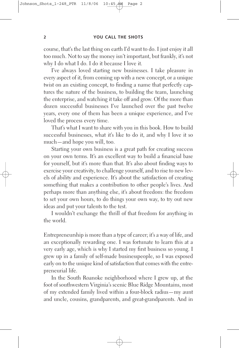course, that's the last thing on earth I'd want to do. I just enjoy it all too much. Not to say the money isn't important, but frankly, it's not why I do what I do. I do it because I love it.

I've always loved starting new businesses. I take pleasure in every aspect of it, from coming up with a new concept, or a unique twist on an existing concept, to finding a name that perfectly captures the nature of the business, to building the team, launching the enterprise, and watching it take off and grow. Of the more than dozen successful businesses I've launched over the past twelve years, every one of them has been a unique experience, and I've loved the process every time.

That's what I want to share with you in this book. How to build successful businesses, what it's like to do it, and why I love it so much—and hope you will, too.

Starting your own business is a great path for creating success on your own terms. It's an excellent way to build a financial base for yourself, but it's more than that. It's also about finding ways to exercise your creativity, to challenge yourself, and to rise to new levels of ability and experience. It's about the satisfaction of creating something that makes a contribution to other people's lives. And perhaps more than anything else, it's about freedom: the freedom to set your own hours, to do things your own way, to try out new ideas and put your talents to the test.

I wouldn't exchange the thrill of that freedom for anything in the world.

Entrepreneurship is more than a type of career; it's a way of life, and an exceptionally rewarding one. I was fortunate to learn this at a very early age, which is why I started my first business so young. I grew up in a family of self-made businesspeople, so I was exposed early on to the unique kind of satisfaction that comes with the entrepreneurial life.

In the South Roanoke neighborhood where I grew up, at the foot of southwestern Virginia's scenic Blue Ridge Mountains, most of my extended family lived within a four-block radius—my aunt and uncle, cousins, grandparents, and great-grandparents. And in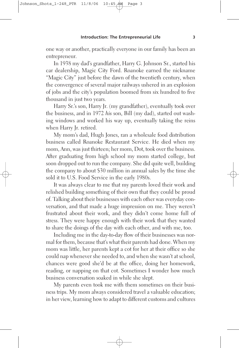one way or another, practically everyone in our family has been an entrepreneur.

In 1938 my dad's grandfather, Harry G. Johnson Sr., started his car dealership, Magic City Ford. Roanoke earned the nickname "Magic City" just before the dawn of the twentieth century, when the convergence of several major railways ushered in an explosion of jobs and the city's population boomed from six hundred to five thousand in just two years.

Harry Sr.'s son, Harry Jr. (my grandfather), eventually took over the business, and in 1972 *his* son, Bill (my dad), started out washing windows and worked his way up, eventually taking the reins when Harry Jr. retired.

My mom's dad, Hugh Jones, ran a wholesale food distribution business called Roanoke Restaurant Service. He died when my mom, Ann, was just thirteen; her mom, Dot, took over the business. After graduating from high school my mom started college, but soon dropped out to run the company. She did quite well, building the company to about \$30 million in annual sales by the time she sold it to U.S. Food Service in the early 1980s.

It was always clear to me that my parents loved their work and relished building something of their own that they could be proud of. Talking about their businesses with each other was everyday conversation, and that made a huge impression on me. They weren't frustrated about their work, and they didn't come home full of stress. They were happy enough with their work that they wanted to share the doings of the day with each other, and with me, too.

Including me in the day-to-day flow of their businesses was normal for them, because that's what their parents had done. When my mom was little, her parents kept a cot for her at their office so she could nap whenever she needed to, and when she wasn't at school, chances were good she'd be at the office, doing her homework, reading, or napping on that cot. Sometimes I wonder how much business conversation soaked in while she slept.

My parents even took me with them sometimes on their business trips. My mom always considered travel a valuable education; in her view, learning how to adapt to different customs and cultures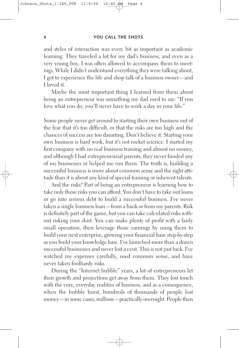and styles of interaction was every bit as important as academic learning. They traveled a lot for my dad's business, and even as a very young boy, I was often allowed to accompany them to meetings. While I didn't understand everything they were talking about, I got to experience the life and shop talk of a business owner—and I loved it.

Maybe the most important thing I learned from them about being an entrepreneur was something my dad used to say: "If you love what you do, you'll never have to work a day in your life."

Some people never get around to starting their own business out of the fear that it's too difficult, or that the risks are too high and the chances of success are too daunting. Don't believe it. Starting your own business is hard work, but it's not rocket science. I started my first company with no real business training and almost no money, and although I had entrepreneurial parents, they never funded any of my businesses or helped me run them. The truth is, building a successful business is more about common sense and the right attitude than it is about any kind of special training or inherent talents.

And the risks? Part of being an entrepreneur is learning how to take only those risks you can afford. You don't have to take out loans or go into serious debt to build a successful business. I've never taken a single business loan—from a bank *or* from my parents. Risk is definitely part of the game, but you can take calculated risks without risking your shirt. You can make plenty of profit with a fairly small operation, then leverage those earnings by using them to build your next enterprise, growing your financial base step-by-step as you build your knowledge base. I've launched more than a dozen successful businesses and never lost a cent. This is not just luck. I've watched my expenses carefully, used common sense, and have never taken foolhardy risks.

During the "Internet bubble" years, a lot of entrepreneurs let their growth and projections get away from them. They lost touch with the core, everyday realities of business, and as a consequence, when the bubble burst, hundreds of thousands of people lost money—in some cases, *millions*—practically overnight. People then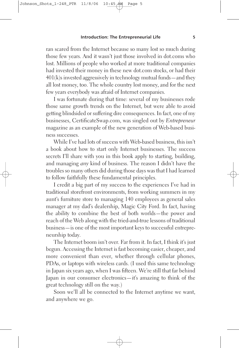ran scared from the Internet because so many lost so much during those few years. And it wasn't just those involved in dot.coms who lost. Millions of people who worked at more traditional companies had invested their money in these new dot.com stocks, or had their  $401(k)$ s invested aggressively in technology mutual funds—and they all lost money, too. The whole country lost money, and for the next few years everybody was afraid of Internet companies.

I was fortunate during that time: several of my businesses rode those same growth trends on the Internet, but were able to avoid getting blindsided or suffering dire consequences. In fact, one of my businesses, CertificateSwap.com, was singled out by *Entrepreneur* magazine as an example of the new generation of Web-based business successes.

While I've had lots of success with Web-based business, this isn't a book about how to start only Internet businesses. The success secrets I'll share with you in this book apply to starting, building, and managing *any* kind of business. The reason I didn't have the troubles so many others did during those days was that I had learned to follow faithfully these fundamental principles.

I credit a big part of my success to the experiences I've had in traditional storefront environments, from working summers in my aunt's furniture store to managing 140 employees as general sales manager at my dad's dealership, Magic City Ford. In fact, having the ability to combine the best of both worlds—the power and reach of the Web along with the tried-and-true lessons of traditional business—is one of the most important keys to successful entrepreneurship today.

The Internet boom isn't over. Far from it. In fact, I think it's just begun. Accessing the Internet is fast becoming easier, cheaper, and more convenient than ever, whether through cellular phones, PDAs, or laptops with wireless cards. (I used this same technology in Japan six years ago, when I was fifteen. We're still that far behind Japan in our consumer electronics—it's amazing to think of the great technology still on the way.)

Soon we'll all be connected to the Internet anytime we want, and anywhere we go.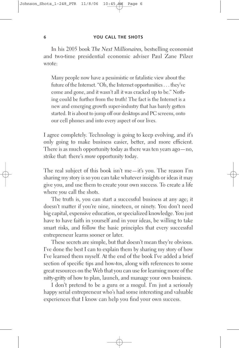In his 2005 book *The Next Millionaires,* bestselling economist and two-time presidential economic adviser Paul Zane Pilzer wrote:

Many people now have a pessimistic or fatalistic view about the future of the Internet. "Oh, the Internet opportunities . . . they've come and gone, and it wasn't all it was cracked up to be." Nothing could be further from the truth! The fact is the Internet is a new and emerging growth super-industry that has barely gotten started. It is about to jump off our desktops and PC screens, onto our cell phones and into every aspect of our lives.

I agree completely. Technology is going to keep evolving, and it's only going to make business easier, better, and more efficient. There is as much opportunity today as there was ten years ago—no, strike that: there's *more* opportunity today.

The real subject of this book isn't me—it's you. The reason I'm sharing my story is so you can take whatever insights or ideas it may give you, and use them to create your own success. To create a life where *you* call the shots.

The truth is, you can start a successful business at any age; it doesn't matter if you're nine, nineteen, or ninety. You don't need big capital, expensive education, or specialized knowledge. You just have to have faith in yourself and in your ideas, be willing to take smart risks, and follow the basic principles that every successful entrepreneur learns sooner or later.

These secrets are simple, but that doesn't mean they're obvious. I've done the best I can to explain them by sharing my story of how I've learned them myself. At the end of the book I've added a brief section of specific tips and how-tos, along with references to some great resources on the Web that you can use for learning more of the nitty-gritty of how to plan, launch, and manage your own business.

I don't pretend to be a guru or a mogul. I'm just a seriously happy serial entrepreneur who's had some interesting and valuable experiences that I know can help you find your own success.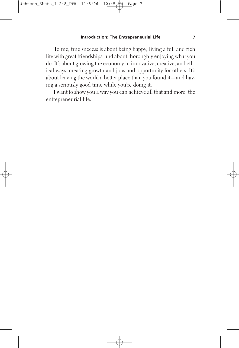To me, true success is about being happy, living a full and rich life with great friendships, and about thoroughly enjoying what you do. It's about growing the economy in innovative, creative, and ethical ways, creating growth and jobs and opportunity for others. It's about leaving the world a better place than you found it—and having a seriously good time while you're doing it.

I want to show you a way you can achieve all that and more: the entrepreneurial life.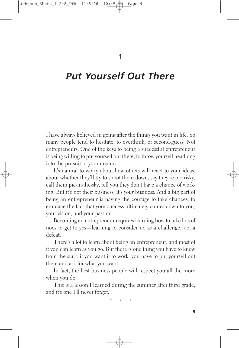#### *Put Yourself Out There*

I have always believed in going after the things you want in life. So many people tend to hesitate, to overthink, or second-guess. Not entrepreneurs. One of the keys to being a successful entrepreneur is being willing to put yourself out there, to throw yourself headlong into the pursuit of your dreams.

It's natural to worry about how others will react to your ideas, about whether they'll try to shoot them down, say they're too risky, call them pie-in-the-sky, tell you they don't have a chance of working. But it's not their business, it's *your* business. And a big part of being an entrepreneur is having the courage to take chances, to embrace the fact that your success ultimately comes down to you, your vision, and your passion.

Becoming an entrepreneur requires learning how to take lots of noes to get to yes—learning to consider no as a challenge, not a defeat.

There's a lot to learn about being an entrepreneur, and most of it you can learn as you go. But there is one thing you have to know from the start: if you want it to work, you have to put yourself out there and ask for what you want.

In fact, the best business people will respect you all the more when you do.

This is a lesson I learned during the summer after third grade, and it's one I'll never forget.

\*\*\*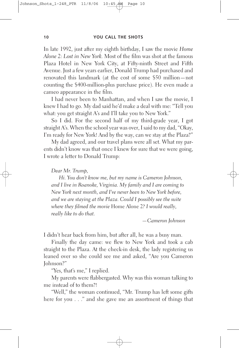In late 1992, just after my eighth birthday, I saw the movie *Home Alone 2: Lost in New York.* Most of the film was shot at the famous Plaza Hotel in New York City, at Fifty-ninth Street and Fifth Avenue. Just a few years earlier, Donald Trump had purchased and renovated this landmark (at the cost of some \$50 million—not counting the \$400-million-plus purchase price). He even made a cameo appearance in the film.

I had never been to Manhattan, and when I saw the movie, I knew I had to go. My dad said he'd make a deal with me: "Tell you what: you get straight A's and I'll take you to New York."

So I did. For the second half of my third-grade year, I got straight A's. When the school year was over, I said to my dad, "Okay, I'm ready for New York! And by the way, can we stay at the Plaza?"

My dad agreed, and our travel plans were all set. What my parents didn't know was that once I knew for sure that we were going, I wrote a letter to Donald Trump:

#### *Dear Mr. Trump,*

*Hi. You don't know me, but my name is Cameron Johnson, and I live in Roanoke, Virginia. My family and I are coming to New York next month, and I've never been to New York before, and we are staying at the Plaza. Could I possibly see the suite where they filmed the movie* Home Alone 2*? I would really, really like to do that.*

*—Cameron Johnson*

I didn't hear back from him, but after all, he was a busy man.

Finally the day came: we flew to New York and took a cab straight to the Plaza. At the check-in desk, the lady registering us leaned over so she could see me and asked, "Are you Cameron Johnson?"

"Yes, that's me," I replied.

My parents were flabbergasted. Why was this woman talking to me instead of to them?!

"Well," the woman continued, "Mr. Trump has left some gifts here for you . . ." and she gave me an assortment of things that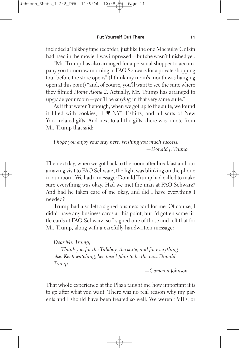included a Talkboy tape recorder, just like the one Macaulay Culkin had used in the movie. I was impressed—but she wasn't finished yet.

"Mr. Trump has also arranged for a personal shopper to accompany you tomorrow morning to FAO Schwarz for a private shopping tour before the store opens" (I think my mom's mouth was hanging open at this point) "and, of course, you'll want to see the suite where they filmed *Home Alone 2.* Actually, Mr. Trump has arranged to upgrade your room—you'll be *staying* in that very same suite."

As if that weren't enough, when we got up to the suite, we found it filled with cookies, "I ♥ NY" T-shirts, and all sorts of New York–related gifts. And next to all the gifts, there was a note from Mr. Trump that said:

*I hope you enjoy your stay here. Wishing you much success. —Donald J. Trump*

The next day, when we got back to the room after breakfast and our amazing visit to FAO Schwarz, the light was blinking on the phone in our room. We had a message: Donald Trump had called to make sure everything was okay. Had we met the man at FAO Schwarz? And had he taken care of me okay, and did I have everything I needed?

Trump had also left a signed business card for me. Of course, I didn't have any business cards at this point, but I'd gotten some little cards at FAO Schwarz, so I signed one of those and left that for Mr. Trump, along with a carefully handwritten message:

*Dear Mr. Trump, Thank you for the Talkboy, the suite, and for everything else. Keep watching, because I plan to be the next Donald Trump.*

*—Cameron Johnson*

That whole experience at the Plaza taught me how important it is to go after what you want. There was no real reason why my parents and I should have been treated so well. We weren't VIPs, or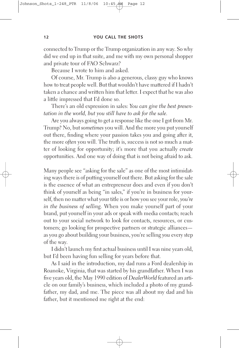connected to Trump or the Trump organization in any way. So why did we end up in that suite, and me with my own personal shopper and private tour of FAO Schwarz?

Because I wrote to him and asked.

Of course, Mr. Trump is also a generous, classy guy who knows how to treat people well. But that wouldn't have mattered if I hadn't taken a chance and written him that letter. I expect that he was also a little impressed that I'd done so.

There's an old expression in sales: *You can give the best presentation in the world, but you still have to ask for the sale.*

Are you always going to get a response like the one I got from Mr. Trump? No, but *sometimes* you will. And the more you put yourself out there, finding where your passion takes you and going after it, the more *often* you will. The truth is, success is not so much a matter of looking for opportunity; it's more that you actually *create* opportunities. And one way of doing that is not being afraid to ask.

Many people see "asking for the sale" as one of the most intimidating ways there is of putting yourself out there. But asking for the sale is the essence of what an entrepreneur does and even if you don't think of yourself as being "in sales," if you're in business for yourself, then no matter what your title is or how you see your role, *you're in the business of selling.* When you make yourself part of your brand, put yourself in your ads or speak with media contacts; reach out to your social network to look for contacts, resources, or customers; go looking for prospective partners or strategic alliances as you go about building your business, you're selling *you* every step of the way.

I didn't launch my first actual business until I was nine years old, but I'd been having fun selling for years before that.

As I said in the introduction, my dad runs a Ford dealership in Roanoke, Virginia, that was started by his grandfather. When I was five years old, the May 1990 edition of *DealerWorld* featured an article on our family's business, which included a photo of my grandfather, my dad, and me. The piece was all about my dad and his father, but it mentioned me right at the end: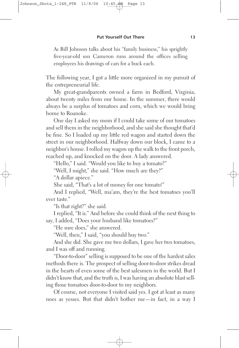As Bill Johnson talks about his "family business," his sprightly five-year-old son Cameron runs around the offices selling employees his drawings of cars for a buck each.

The following year, I got a little more organized in my pursuit of the entrepreneurial life.

My great-grandparents owned a farm in Bedford, Virginia, about twenty miles from our home. In the summer, there would always be a surplus of tomatoes and corn, which we would bring home to Roanoke.

One day I asked my mom if I could take some of our tomatoes and sell them in the neighborhood, and she said she thought that'd be fine. So I loaded up my little red wagon and started down the street in our neighborhood. Halfway down our block, I came to a neighbor's house. I rolled my wagon up the walk to the front porch, reached up, and knocked on the door. A lady answered.

"Hello," I said. "Would you like to buy a tomato?"

"Well, I might," she said. "How much are they?"

"A dollar apiece."

She said, "That's a lot of money for one tomato!"

And I replied, "Well, ma'am, they're the best tomatoes you'll ever taste."

"Is that right?" she said.

I replied, "It is." And before she could think of the next thing to say, I added, "Does your husband like tomatoes?"

"He sure does," she answered.

"Well, then," I said, "you should buy two."

And she did. She gave me two dollars, I gave her two tomatoes, and I was off and running.

"Door-to-door" selling is supposed to be one of the hardest sales methods there is. The prospect of selling door-to-door strikes dread in the hearts of even some of the best salesmen in the world. But I didn't know that, and the truth is, I was having an absolute blast selling those tomatoes door-to-door to my neighbors.

Of course, not everyone I visited said yes. I got at least as many noes as yesses. But that didn't bother me—in fact, in a way I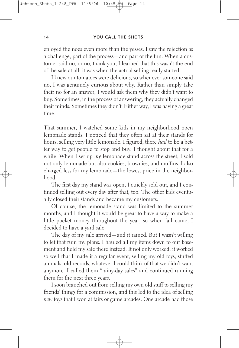enjoyed the noes even more than the yesses. I saw the rejection as a challenge, part of the process—and part of the fun. When a customer said no, or no, thank you, I learned that this wasn't the end of the sale at all: it was when the actual selling really started.

I knew our tomatoes were delicious, so whenever someone said no, I was genuinely curious about why. Rather than simply take their no for an answer, I would ask them why they didn't want to buy. Sometimes, in the process of answering, they actually changed their minds. Sometimes they didn't. Either way, I was having a great time.

That summer, I watched some kids in my neighborhood open lemonade stands. I noticed that they often sat at their stands for hours, selling very little lemonade. I figured, there *had* to be a better way to get people to stop and buy. I thought about that for a while. When I set up *my* lemonade stand across the street, I sold not only lemonade but also cookies, brownies, and muffins. I also charged less for my lemonade—the lowest price in the neighborhood.

The first day my stand was open, I quickly sold out, and I continued selling out every day after that, too. The other kids eventually closed their stands and became my customers.

Of course, the lemonade stand was limited to the summer months, and I thought it would be great to have a way to make a little pocket money throughout the year, so when fall came, I decided to have a yard sale.

The day of my sale arrived—and it rained. But I wasn't willing to let that ruin my plans. I hauled all my items down to our basement and held my sale there instead. It not only worked, it worked so well that I made it a regular event, selling my old toys, stuffed animals, old records, whatever I could think of that we didn't want anymore. I called them "rainy-day sales" and continued running them for the next three years.

I soon branched out from selling my own old stuff to selling my friends' things for a commission, and this led to the idea of selling *new* toys that I won at fairs or game arcades. One arcade had those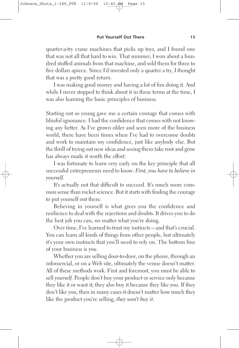quarter-a-try crane machines that picks up toys, and I found one that was not all that hard to win. That summer, I won about a hundred stuffed animals from that machine, and sold them for three to five dollars apiece. Since I'd invested only a quarter a try, I thought that was a pretty good return.

I was making good money and having a lot of fun doing it. And while I never stopped to think about it in these terms at the time, I was also learning the basic principles of business.

Starting out so young gave me a certain courage that comes with blissful ignorance. I had the confidence that comes with not knowing any better. As I've grown older and seen more of the business world, there have been times when I've had to overcome doubts and work to maintain my confidence, just like anybody else. But the thrill of trying out new ideas and seeing them take root and grow has always made it worth the effort.

I was fortunate to learn very early on the key principle that all successful entrepreneurs need to know: *First, you have to believe in yourself.*

It's actually not that difficult to succeed. It's much more common sense than rocket science. But it starts with finding the courage to put yourself out there.

Believing in yourself is what gives you the confidence and resilience to deal with the rejections and doubts. It drives you to do the best job you can, no matter what you're doing.

Over time, I've learned to trust my instincts—and that's crucial. You can learn all kinds of things from other people, but ultimately it's your own instincts that you'll need to rely on. The bottom line of your business is *you.*

Whether you are selling door-to-door, on the phone, through an infomercial, or on a Web site, ultimately the venue doesn't matter. All of these methods work. First and foremost, you must be able to sell *yourself.* People don't buy your product or service only because they like it or want it; they also buy it because they like *you.* If they don't like you, then in many cases it doesn't matter how much they like the product you're selling, *they won't buy it.*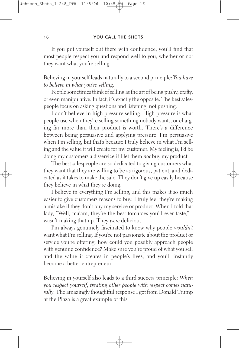If you put yourself out there with confidence, you'll find that most people respect you and respond well to you, whether or not they want what you're selling.

Believing in yourself leads naturally to a second principle: *You have to believe in what you're selling.*

People sometimes think of selling as the art of being pushy, crafty, or even manipulative. In fact, it's exactly the opposite. The best salespeople focus on asking questions and listening, not pushing.

I don't believe in high-pressure selling. High pressure is what people use when they're selling something nobody wants, or charging far more than their product is worth. There's a difference between being persuasive and applying pressure. I'm persuasive when I'm selling, but that's because I truly believe in what I'm selling and the value it will create for my customer. My feeling is, I'd be doing my customers a disservice if I let them *not* buy my product.

The best salespeople are so dedicated to giving customers what they want that they are willing to be as rigorous, patient, and dedicated as it takes to make the sale. They don't give up easily because they believe in what they're doing.

I believe in everything I'm selling, and this makes it so much easier to give customers reasons to buy. I truly feel they're making a mistake if they don't buy my service or product. When I told that lady, "Well, ma'am, they're the best tomatoes you'll ever taste," I wasn't making that up. They *were* delicious.

I'm always genuinely fascinated to know why people *wouldn't* want what I'm selling. If you're not passionate about the product or service you're offering, how could you possibly approach people with genuine confidence? Make sure you're proud of what you sell and the value it creates in people's lives, and you'll instantly become a better entrepreneur.

Believing in yourself also leads to a third success principle: *When you respect yourself, treating other people with respect comes naturally.* The amazingly thoughtful response I got from Donald Trump at the Plaza is a great example of this.